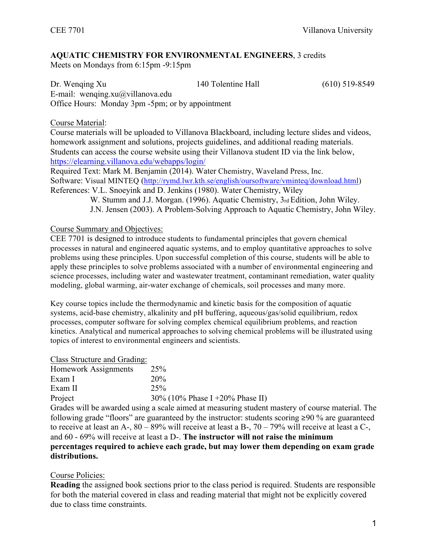## **AQUATIC CHEMISTRY FOR ENVIRONMENTAL ENGINEERS**, 3 credits

Meets on Mondays from 6:15pm -9:15pm

| Dr. Wenging Xu                                   | 140 Tolentine Hall | $(610)$ 519-8549 |  |  |
|--------------------------------------------------|--------------------|------------------|--|--|
| E-mail: wenging.xu $\omega$ villanova.edu        |                    |                  |  |  |
| Office Hours: Monday 3pm -5pm; or by appointment |                    |                  |  |  |

#### Course Material:

Course materials will be uploaded to Villanova Blackboard, including lecture slides and videos, homework assignment and solutions, projects guidelines, and additional reading materials. Students can access the course website using their Villanova student ID via the link below, https://elearning.villanova.edu/webapps/login/

Required Text: Mark M. Benjamin (2014). Water Chemistry, Waveland Press, Inc. Software: Visual MINTEQ (http://rymd.lwr.kth.se/english/oursoftware/vminteq/download.html) References: V.L. Snoeyink and D. Jenkins (1980). Water Chemistry, Wiley

W. Stumm and J.J. Morgan. (1996). Aquatic Chemistry, 3rd Edition, John Wiley. J.N. Jensen (2003). A Problem-Solving Approach to Aquatic Chemistry, John Wiley.

#### Course Summary and Objectives:

CEE 7701 is designed to introduce students to fundamental principles that govern chemical processes in natural and engineered aquatic systems, and to employ quantitative approaches to solve problems using these principles. Upon successful completion of this course, students will be able to apply these principles to solve problems associated with a number of environmental engineering and science processes, including water and wastewater treatment, contaminant remediation, water quality modeling, global warming, air-water exchange of chemicals, soil processes and many more.

Key course topics include the thermodynamic and kinetic basis for the composition of aquatic systems, acid-base chemistry, alkalinity and pH buffering, aqueous/gas/solid equilibrium, redox processes, computer software for solving complex chemical equilibrium problems, and reaction kinetics. Analytical and numerical approaches to solving chemical problems will be illustrated using topics of interest to environmental engineers and scientists.

| Class Structure and Grading: |                                                                 |
|------------------------------|-----------------------------------------------------------------|
| Homework Assignments         | 25 <sup>%</sup>                                                 |
| Exam I                       | 20%                                                             |
| Exam II                      | 25%                                                             |
| Project                      | 30% (10% Phase I +20% Phase II)                                 |
|                              | Grades will be awarded using a scale aimed at measuring student |

g student mastery of course material. The following grade "floors" are guaranteed by the instructor: students scoring ≥90 % are guaranteed to receive at least an A-, 80 – 89% will receive at least a B-, 70 – 79% will receive at least a C-, and 60 - 69% will receive at least a D-. **The instructor will not raise the minimum percentages required to achieve each grade, but may lower them depending on exam grade distributions.**

### Course Policies:

**Reading** the assigned book sections prior to the class period is required. Students are responsible for both the material covered in class and reading material that might not be explicitly covered due to class time constraints.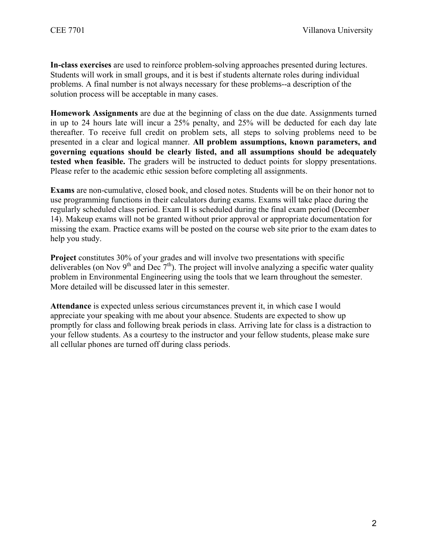**In-class exercises** are used to reinforce problem-solving approaches presented during lectures. Students will work in small groups, and it is best if students alternate roles during individual problems. A final number is not always necessary for these problems--a description of the solution process will be acceptable in many cases.

**Homework Assignments** are due at the beginning of class on the due date. Assignments turned in up to 24 hours late will incur a 25% penalty, and 25% will be deducted for each day late thereafter. To receive full credit on problem sets, all steps to solving problems need to be presented in a clear and logical manner. **All problem assumptions, known parameters, and governing equations should be clearly listed, and all assumptions should be adequately tested when feasible.** The graders will be instructed to deduct points for sloppy presentations. Please refer to the academic ethic session before completing all assignments.

**Exams** are non-cumulative, closed book, and closed notes. Students will be on their honor not to use programming functions in their calculators during exams. Exams will take place during the regularly scheduled class period. Exam II is scheduled during the final exam period (December 14). Makeup exams will not be granted without prior approval or appropriate documentation for missing the exam. Practice exams will be posted on the course web site prior to the exam dates to help you study.

**Project** constitutes 30% of your grades and will involve two presentations with specific deliverables (on Nov  $9<sup>th</sup>$  and Dec  $7<sup>th</sup>$ ). The project will involve analyzing a specific water quality problem in Environmental Engineering using the tools that we learn throughout the semester. More detailed will be discussed later in this semester.

**Attendance** is expected unless serious circumstances prevent it, in which case I would appreciate your speaking with me about your absence. Students are expected to show up promptly for class and following break periods in class. Arriving late for class is a distraction to your fellow students. As a courtesy to the instructor and your fellow students, please make sure all cellular phones are turned off during class periods.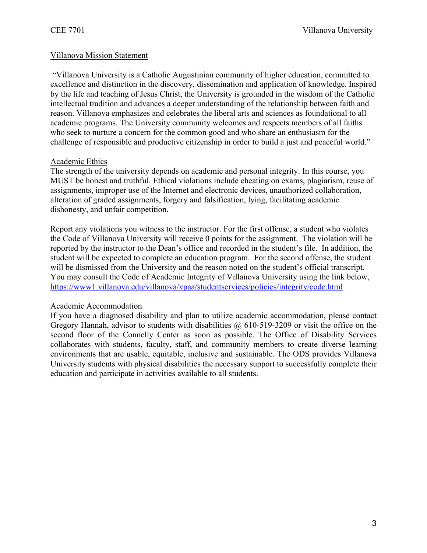#### Villanova Mission Statement

"Villanova University is a Catholic Augustinian community of higher education, committed to excellence and distinction in the discovery, dissemination and application of knowledge. Inspired by the life and teaching of Jesus Christ, the University is grounded in the wisdom of the Catholic intellectual tradition and advances a deeper understanding of the relationship between faith and reason. Villanova emphasizes and celebrates the liberal arts and sciences as foundational to all academic programs. The University community welcomes and respects members of all faiths who seek to nurture a concern for the common good and who share an enthusiasm for the challenge of responsible and productive citizenship in order to build a just and peaceful world."

#### Academic Ethics

The strength of the university depends on academic and personal integrity. In this course, you MUST be honest and truthful. Ethical violations include cheating on exams, plagiarism, reuse of assignments, improper use of the Internet and electronic devices, unauthorized collaboration, alteration of graded assignments, forgery and falsification, lying, facilitating academic dishonesty, and unfair competition.

Report any violations you witness to the instructor. For the first offense, a student who violates the Code of Villanova University will receive 0 points for the assignment. The violation will be reported by the instructor to the Dean's office and recorded in the student's file. In addition, the student will be expected to complete an education program. For the second offense, the student will be dismissed from the University and the reason noted on the student's official transcript. You may consult the Code of Academic Integrity of Villanova University using the link below, https://www1.villanova.edu/villanova/vpaa/studentservices/policies/integrity/code.html

#### Academic Accommodation

If you have a diagnosed disability and plan to utilize academic accommodation, please contact Gregory Hannah, advisor to students with disabilities  $\omega$  610-519-3209 or visit the office on the second floor of the Connelly Center as soon as possible. The Office of Disability Services collaborates with students, faculty, staff, and community members to create diverse learning environments that are usable, equitable, inclusive and sustainable. The ODS provides Villanova University students with physical disabilities the necessary support to successfully complete their education and participate in activities available to all students.